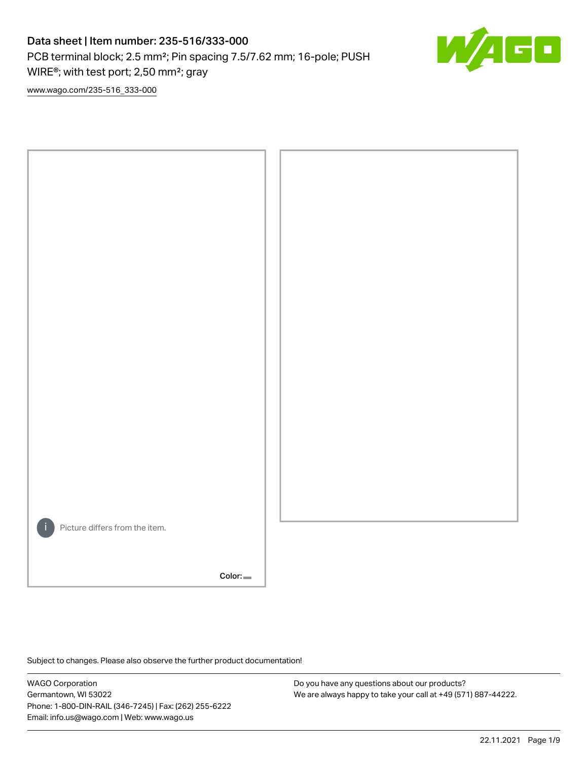PCB terminal block; 2.5 mm²; Pin spacing 7.5/7.62 mm; 16-pole; PUSH WIRE®; with test port; 2,50 mm²; gray



[www.wago.com/235-516\\_333-000](http://www.wago.com/235-516_333-000)



Subject to changes. Please also observe the further product documentation!

WAGO Corporation Germantown, WI 53022 Phone: 1-800-DIN-RAIL (346-7245) | Fax: (262) 255-6222 Email: info.us@wago.com | Web: www.wago.us

Do you have any questions about our products? We are always happy to take your call at +49 (571) 887-44222.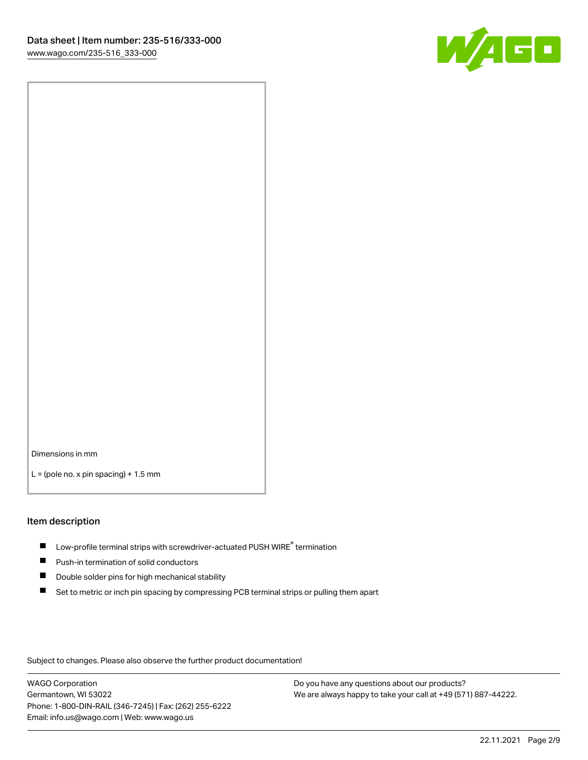

Dimensions in mm

 $L =$  (pole no. x pin spacing) + 1.5 mm

#### Item description

- $\blacksquare$  Low-profile terminal strips with screwdriver-actuated PUSH WIRE<sup>®</sup> termination
- **Push-in termination of solid conductors**
- $\blacksquare$ Double solder pins for high mechanical stability
- П Set to metric or inch pin spacing by compressing PCB terminal strips or pulling them apart

Subject to changes. Please also observe the further product documentation!

WAGO Corporation Germantown, WI 53022 Phone: 1-800-DIN-RAIL (346-7245) | Fax: (262) 255-6222 Email: info.us@wago.com | Web: www.wago.us

Do you have any questions about our products? We are always happy to take your call at +49 (571) 887-44222.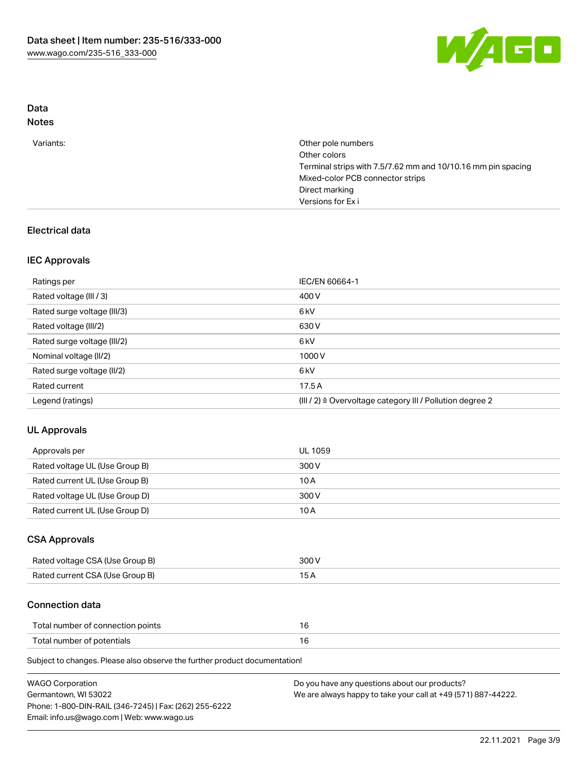

# Data

| N∩t<br>٠ |
|----------|
|----------|

| Variants: | Other pole numbers<br>Other colors<br>Terminal strips with 7.5/7.62 mm and 10/10.16 mm pin spacing<br>Mixed-color PCB connector strips<br>Direct marking<br>Versions for Exi |
|-----------|------------------------------------------------------------------------------------------------------------------------------------------------------------------------------|
|           |                                                                                                                                                                              |

### Electrical data

### IEC Approvals

| Ratings per                 | IEC/EN 60664-1                                                        |
|-----------------------------|-----------------------------------------------------------------------|
| Rated voltage (III / 3)     | 400 V                                                                 |
| Rated surge voltage (III/3) | 6 <sub>k</sub> V                                                      |
| Rated voltage (III/2)       | 630 V                                                                 |
| Rated surge voltage (III/2) | 6 kV                                                                  |
| Nominal voltage (II/2)      | 1000 V                                                                |
| Rated surge voltage (II/2)  | 6 <sub>k</sub> V                                                      |
| Rated current               | 17.5A                                                                 |
| Legend (ratings)            | $(III / 2)$ $\triangle$ Overvoltage category III / Pollution degree 2 |

## UL Approvals

| Approvals per                  | UL 1059 |
|--------------------------------|---------|
| Rated voltage UL (Use Group B) | 300 V   |
| Rated current UL (Use Group B) | 10 A    |
| Rated voltage UL (Use Group D) | 300 V   |
| Rated current UL (Use Group D) | 10 A    |

### CSA Approvals

| Rated voltage CSA (Use Group B) | 300 V |
|---------------------------------|-------|
| Rated current CSA (Use Group B) |       |

### Connection data

| Total number of connection points |  |
|-----------------------------------|--|
| Total number of potentials        |  |

Subject to changes. Please also observe the further product documentation!

| <b>WAGO Corporation</b>                                | Do you have any questions about our products?                 |
|--------------------------------------------------------|---------------------------------------------------------------|
| Germantown, WI 53022                                   | We are always happy to take your call at +49 (571) 887-44222. |
| Phone: 1-800-DIN-RAIL (346-7245)   Fax: (262) 255-6222 |                                                               |
| Email: info.us@wago.com   Web: www.wago.us             |                                                               |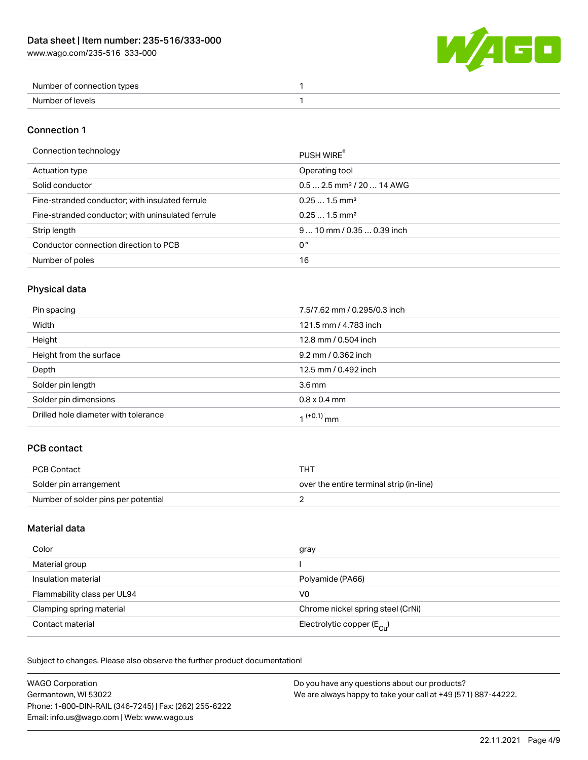W/4GO

| Number of connection types |  |
|----------------------------|--|
| Number of levels           |  |

#### Connection 1

#### Connection technology PUSH WIRE®

| ັ                                                 | <b>PUSH WIRE</b>                       |
|---------------------------------------------------|----------------------------------------|
| Actuation type                                    | Operating tool                         |
| Solid conductor                                   | $0.5$ 2.5 mm <sup>2</sup> / 20  14 AWG |
| Fine-stranded conductor; with insulated ferrule   | $0.251.5$ mm <sup>2</sup>              |
| Fine-stranded conductor; with uninsulated ferrule | $0.251.5$ mm <sup>2</sup>              |
| Strip length                                      | $910$ mm $/0.350.39$ inch              |
| Conductor connection direction to PCB             | 0°                                     |
| Number of poles                                   | 16                                     |
|                                                   |                                        |

## Physical data

| Pin spacing                          | 7.5/7.62 mm / 0.295/0.3 inch |
|--------------------------------------|------------------------------|
| Width                                | 121.5 mm / 4.783 inch        |
| Height                               | 12.8 mm / 0.504 inch         |
| Height from the surface              | 9.2 mm / 0.362 inch          |
| Depth                                | 12.5 mm / 0.492 inch         |
| Solder pin length                    | $3.6 \,\mathrm{mm}$          |
| Solder pin dimensions                | $0.8 \times 0.4$ mm          |
| Drilled hole diameter with tolerance | $1^{(+0.1)}$ mm              |

### PCB contact

| PCB Contact                         | THT                                      |
|-------------------------------------|------------------------------------------|
| Solder pin arrangement              | over the entire terminal strip (in-line) |
| Number of solder pins per potential |                                          |

### Material data

| Color                       | gray                                    |
|-----------------------------|-----------------------------------------|
| Material group              |                                         |
| Insulation material         | Polyamide (PA66)                        |
| Flammability class per UL94 | V0                                      |
| Clamping spring material    | Chrome nickel spring steel (CrNi)       |
| Contact material            | Electrolytic copper ( $E_{\text{Cl}}$ ) |

Subject to changes. Please also observe the further product documentation!

| <b>WAGO Corporation</b>                                                               | Do you have any questions about our products? |  |
|---------------------------------------------------------------------------------------|-----------------------------------------------|--|
| We are always happy to take your call at +49 (571) 887-44222.<br>Germantown, WI 53022 |                                               |  |
| Phone: 1-800-DIN-RAIL (346-7245)   Fax: (262) 255-6222                                |                                               |  |
| Email: info.us@wago.com   Web: www.wago.us                                            |                                               |  |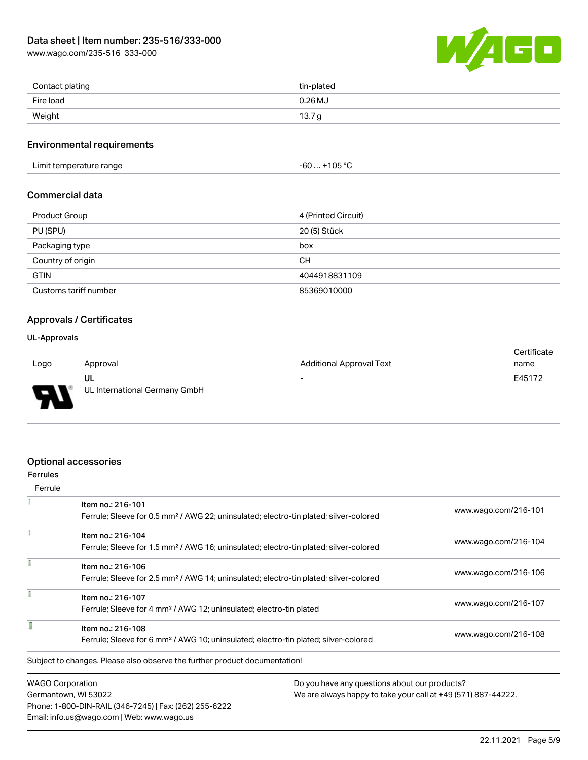[www.wago.com/235-516\\_333-000](http://www.wago.com/235-516_333-000)



| Contact plating | tin-plated        |
|-----------------|-------------------|
| Fire load       | $0.26$ MJ         |
| Weight          | 13.7 <sub>g</sub> |

#### Environmental requirements

Limit temperature range  $-60... +105$  °C

### Commercial data

| <b>Product Group</b>  | 4 (Printed Circuit) |
|-----------------------|---------------------|
| PU (SPU)              | 20 (5) Stück        |
| Packaging type        | box                 |
| Country of origin     | CН                  |
| <b>GTIN</b>           | 4044918831109       |
| Customs tariff number | 85369010000         |

### Approvals / Certificates

#### UL-Approvals

773

| <b>Additional Approval Text</b><br>Logo<br>Approval<br>name<br>E45172<br>ul<br>$\overline{\phantom{a}}$ |  | Certificate |
|---------------------------------------------------------------------------------------------------------|--|-------------|
|                                                                                                         |  |             |
|                                                                                                         |  |             |
| UL International Germany GmbH<br>$\blacksquare$                                                         |  |             |

### Optional accessories

Email: info.us@wago.com | Web: www.wago.us

| <b>Ferrules</b>                                                                                                        |                                                                                                   |                                               |                      |
|------------------------------------------------------------------------------------------------------------------------|---------------------------------------------------------------------------------------------------|-----------------------------------------------|----------------------|
| Ferrule                                                                                                                |                                                                                                   |                                               |                      |
| Item no.: 216-101<br>Ferrule; Sleeve for 0.5 mm <sup>2</sup> / AWG 22; uninsulated; electro-tin plated; silver-colored |                                                                                                   | www.wago.com/216-101                          |                      |
|                                                                                                                        | Item no.: 216-104                                                                                 |                                               | www.wago.com/216-104 |
|                                                                                                                        | Ferrule; Sleeve for 1.5 mm <sup>2</sup> / AWG 16; uninsulated; electro-tin plated; silver-colored |                                               |                      |
| Item no.: 216-106                                                                                                      |                                                                                                   |                                               |                      |
|                                                                                                                        | Ferrule; Sleeve for 2.5 mm <sup>2</sup> / AWG 14; uninsulated; electro-tin plated; silver-colored |                                               | www.wago.com/216-106 |
|                                                                                                                        | Item no.: 216-107                                                                                 |                                               |                      |
| Ferrule; Sleeve for 4 mm <sup>2</sup> / AWG 12; uninsulated; electro-tin plated                                        |                                                                                                   | www.wago.com/216-107                          |                      |
| Item no.: 216-108                                                                                                      |                                                                                                   |                                               |                      |
|                                                                                                                        | Ferrule; Sleeve for 6 mm <sup>2</sup> / AWG 10; uninsulated; electro-tin plated; silver-colored   |                                               | www.wago.com/216-108 |
|                                                                                                                        | Subject to changes. Please also observe the further product documentation!                        |                                               |                      |
| <b>WAGO Corporation</b>                                                                                                |                                                                                                   | Do you have any questions about our products? |                      |
|                                                                                                                        | Germantown, WI 53022<br>We are always happy to take your call at +49 (571) 887-44222.             |                                               |                      |
|                                                                                                                        | Phone: 1-800-DIN-RAIL (346-7245)   Fax: (262) 255-6222                                            |                                               |                      |

22.11.2021 Page 5/9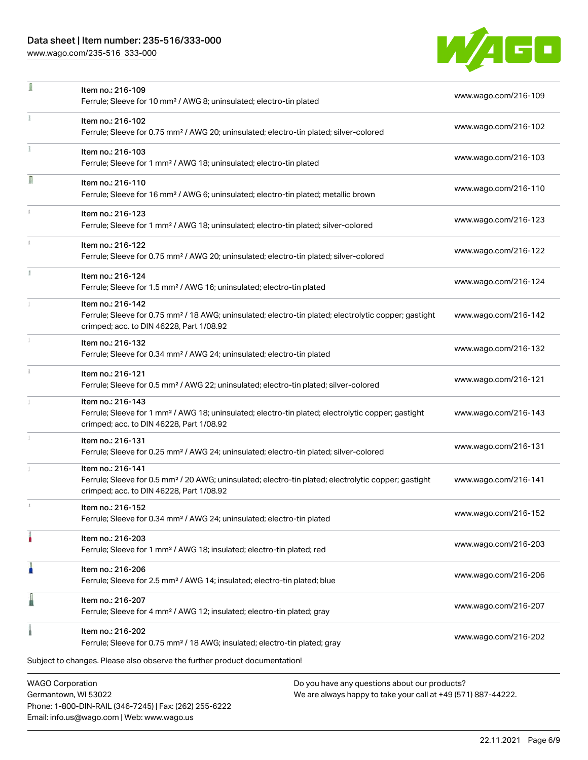Phone: 1-800-DIN-RAIL (346-7245) | Fax: (262) 255-6222

Email: info.us@wago.com | Web: www.wago.us

[www.wago.com/235-516\\_333-000](http://www.wago.com/235-516_333-000)

÷,



| ı                                               | Item no.: 216-109<br>Ferrule; Sleeve for 10 mm <sup>2</sup> / AWG 8; uninsulated; electro-tin plated                                                                               |                                                                                                                | www.wago.com/216-109 |
|-------------------------------------------------|------------------------------------------------------------------------------------------------------------------------------------------------------------------------------------|----------------------------------------------------------------------------------------------------------------|----------------------|
|                                                 | Item no.: 216-102<br>Ferrule; Sleeve for 0.75 mm <sup>2</sup> / AWG 20; uninsulated; electro-tin plated; silver-colored                                                            |                                                                                                                | www.wago.com/216-102 |
|                                                 | Item no.: 216-103<br>Ferrule; Sleeve for 1 mm <sup>2</sup> / AWG 18; uninsulated; electro-tin plated                                                                               |                                                                                                                | www.wago.com/216-103 |
| Ω                                               | Item no.: 216-110<br>Ferrule; Sleeve for 16 mm <sup>2</sup> / AWG 6; uninsulated; electro-tin plated; metallic brown                                                               |                                                                                                                | www.wago.com/216-110 |
|                                                 | Item no.: 216-123<br>Ferrule; Sleeve for 1 mm <sup>2</sup> / AWG 18; uninsulated; electro-tin plated; silver-colored                                                               |                                                                                                                | www.wago.com/216-123 |
|                                                 | Item no.: 216-122<br>Ferrule; Sleeve for 0.75 mm <sup>2</sup> / AWG 20; uninsulated; electro-tin plated; silver-colored                                                            |                                                                                                                | www.wago.com/216-122 |
|                                                 | Item no.: 216-124<br>Ferrule; Sleeve for 1.5 mm <sup>2</sup> / AWG 16; uninsulated; electro-tin plated                                                                             |                                                                                                                | www.wago.com/216-124 |
|                                                 | Item no.: 216-142<br>Ferrule; Sleeve for 0.75 mm <sup>2</sup> / 18 AWG; uninsulated; electro-tin plated; electrolytic copper; gastight<br>crimped; acc. to DIN 46228, Part 1/08.92 |                                                                                                                | www.wago.com/216-142 |
|                                                 | Item no.: 216-132<br>Ferrule; Sleeve for 0.34 mm <sup>2</sup> / AWG 24; uninsulated; electro-tin plated                                                                            |                                                                                                                | www.wago.com/216-132 |
|                                                 | Item no.: 216-121<br>Ferrule; Sleeve for 0.5 mm <sup>2</sup> / AWG 22; uninsulated; electro-tin plated; silver-colored                                                             |                                                                                                                | www.wago.com/216-121 |
|                                                 | Item no.: 216-143<br>Ferrule; Sleeve for 1 mm <sup>2</sup> / AWG 18; uninsulated; electro-tin plated; electrolytic copper; gastight<br>crimped; acc. to DIN 46228, Part 1/08.92    |                                                                                                                | www.wago.com/216-143 |
|                                                 | Item no.: 216-131<br>Ferrule; Sleeve for 0.25 mm <sup>2</sup> / AWG 24; uninsulated; electro-tin plated; silver-colored                                                            |                                                                                                                | www.wago.com/216-131 |
|                                                 | Item no.: 216-141<br>Ferrule; Sleeve for 0.5 mm <sup>2</sup> / 20 AWG; uninsulated; electro-tin plated; electrolytic copper; gastight<br>crimped; acc. to DIN 46228, Part 1/08.92  |                                                                                                                | www.wago.com/216-141 |
|                                                 | Item no.: 216-152<br>Ferrule; Sleeve for 0.34 mm <sup>2</sup> / AWG 24; uninsulated; electro-tin plated                                                                            |                                                                                                                | www.wago.com/216-152 |
|                                                 | Item no.: 216-203<br>Ferrule; Sleeve for 1 mm <sup>2</sup> / AWG 18; insulated; electro-tin plated; red                                                                            |                                                                                                                | www.wago.com/216-203 |
|                                                 | Item no.: 216-206<br>Ferrule; Sleeve for 2.5 mm <sup>2</sup> / AWG 14; insulated; electro-tin plated; blue                                                                         |                                                                                                                | www.wago.com/216-206 |
|                                                 | Item no.: 216-207<br>Ferrule; Sleeve for 4 mm <sup>2</sup> / AWG 12; insulated; electro-tin plated; gray                                                                           |                                                                                                                | www.wago.com/216-207 |
|                                                 | Item no.: 216-202<br>Ferrule; Sleeve for 0.75 mm <sup>2</sup> / 18 AWG; insulated; electro-tin plated; gray                                                                        |                                                                                                                | www.wago.com/216-202 |
|                                                 | Subject to changes. Please also observe the further product documentation!                                                                                                         |                                                                                                                |                      |
| <b>WAGO Corporation</b><br>Germantown, WI 53022 |                                                                                                                                                                                    | Do you have any questions about our products?<br>We are always happy to take your call at +49 (571) 887-44222. |                      |

22.11.2021 Page 6/9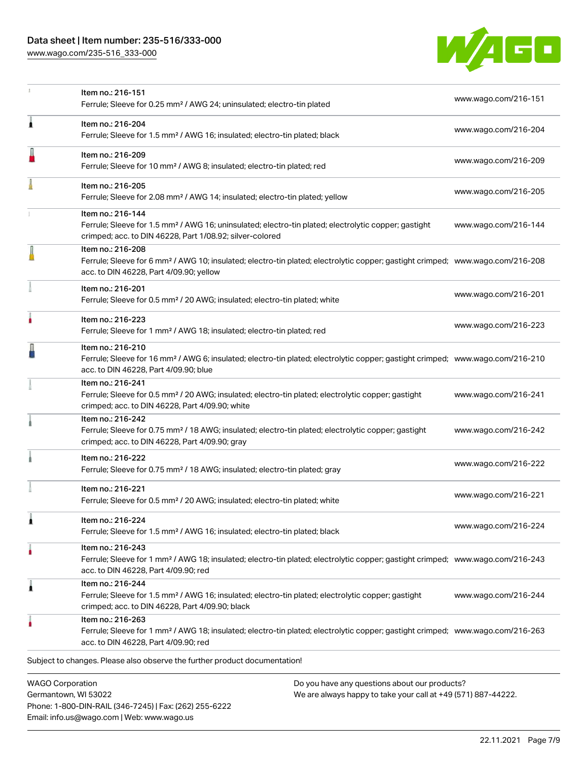[www.wago.com/235-516\\_333-000](http://www.wago.com/235-516_333-000)

Email: info.us@wago.com | Web: www.wago.us



|                                                 | Item no.: 216-151<br>www.wago.com/216-151<br>Ferrule; Sleeve for 0.25 mm <sup>2</sup> / AWG 24; uninsulated; electro-tin plated                                                                            |                                                                                                                |                      |
|-------------------------------------------------|------------------------------------------------------------------------------------------------------------------------------------------------------------------------------------------------------------|----------------------------------------------------------------------------------------------------------------|----------------------|
| ٨                                               | Item no.: 216-204<br>Ferrule; Sleeve for 1.5 mm <sup>2</sup> / AWG 16; insulated; electro-tin plated; black                                                                                                |                                                                                                                | www.wago.com/216-204 |
|                                                 | Item no.: 216-209<br>Ferrule; Sleeve for 10 mm <sup>2</sup> / AWG 8; insulated; electro-tin plated; red                                                                                                    |                                                                                                                | www.wago.com/216-209 |
|                                                 | Item no.: 216-205<br>Ferrule; Sleeve for 2.08 mm <sup>2</sup> / AWG 14; insulated; electro-tin plated; yellow                                                                                              |                                                                                                                | www.wago.com/216-205 |
|                                                 | Item no.: 216-144<br>Ferrule; Sleeve for 1.5 mm <sup>2</sup> / AWG 16; uninsulated; electro-tin plated; electrolytic copper; gastight<br>crimped; acc. to DIN 46228, Part 1/08.92; silver-colored          |                                                                                                                | www.wago.com/216-144 |
|                                                 | Item no.: 216-208<br>Ferrule; Sleeve for 6 mm <sup>2</sup> / AWG 10; insulated; electro-tin plated; electrolytic copper; gastight crimped; www.wago.com/216-208<br>acc. to DIN 46228, Part 4/09.90; yellow |                                                                                                                |                      |
|                                                 | Item no.: 216-201<br>Ferrule; Sleeve for 0.5 mm <sup>2</sup> / 20 AWG; insulated; electro-tin plated; white                                                                                                |                                                                                                                | www.wago.com/216-201 |
|                                                 | Item no.: 216-223<br>Ferrule; Sleeve for 1 mm <sup>2</sup> / AWG 18; insulated; electro-tin plated; red                                                                                                    |                                                                                                                | www.wago.com/216-223 |
|                                                 | Item no.: 216-210<br>Ferrule; Sleeve for 16 mm <sup>2</sup> / AWG 6; insulated; electro-tin plated; electrolytic copper; gastight crimped; www.wago.com/216-210<br>acc. to DIN 46228, Part 4/09.90; blue   |                                                                                                                |                      |
|                                                 | Item no.: 216-241<br>Ferrule; Sleeve for 0.5 mm <sup>2</sup> / 20 AWG; insulated; electro-tin plated; electrolytic copper; gastight<br>crimped; acc. to DIN 46228, Part 4/09.90; white                     |                                                                                                                | www.wago.com/216-241 |
|                                                 | Item no.: 216-242<br>Ferrule; Sleeve for 0.75 mm <sup>2</sup> / 18 AWG; insulated; electro-tin plated; electrolytic copper; gastight<br>crimped; acc. to DIN 46228, Part 4/09.90; gray                     |                                                                                                                | www.wago.com/216-242 |
|                                                 | Item no.: 216-222<br>Ferrule; Sleeve for 0.75 mm <sup>2</sup> / 18 AWG; insulated; electro-tin plated; gray                                                                                                |                                                                                                                | www.wago.com/216-222 |
|                                                 | Item no.: 216-221<br>Ferrule; Sleeve for 0.5 mm <sup>2</sup> / 20 AWG; insulated; electro-tin plated; white                                                                                                |                                                                                                                | www.wago.com/216-221 |
|                                                 | Item no.: 216-224<br>Ferrule; Sleeve for 1.5 mm <sup>2</sup> / AWG 16; insulated; electro-tin plated; black                                                                                                |                                                                                                                | www.wago.com/216-224 |
|                                                 | Item no.: 216-243<br>Ferrule; Sleeve for 1 mm <sup>2</sup> / AWG 18; insulated; electro-tin plated; electrolytic copper; gastight crimped; www.wago.com/216-243<br>acc. to DIN 46228, Part 4/09.90; red    |                                                                                                                |                      |
| 1                                               | Item no.: 216-244<br>Ferrule; Sleeve for 1.5 mm <sup>2</sup> / AWG 16; insulated; electro-tin plated; electrolytic copper; gastight<br>crimped; acc. to DIN 46228, Part 4/09.90; black                     |                                                                                                                | www.wago.com/216-244 |
|                                                 | Item no.: 216-263<br>Ferrule; Sleeve for 1 mm <sup>2</sup> / AWG 18; insulated; electro-tin plated; electrolytic copper; gastight crimped; www.wago.com/216-263<br>acc. to DIN 46228, Part 4/09.90; red    |                                                                                                                |                      |
|                                                 | Subject to changes. Please also observe the further product documentation!                                                                                                                                 |                                                                                                                |                      |
| <b>WAGO Corporation</b><br>Germantown, WI 53022 | Phone: 1-800-DIN-RAIL (346-7245)   Fax: (262) 255-6222                                                                                                                                                     | Do you have any questions about our products?<br>We are always happy to take your call at +49 (571) 887-44222. |                      |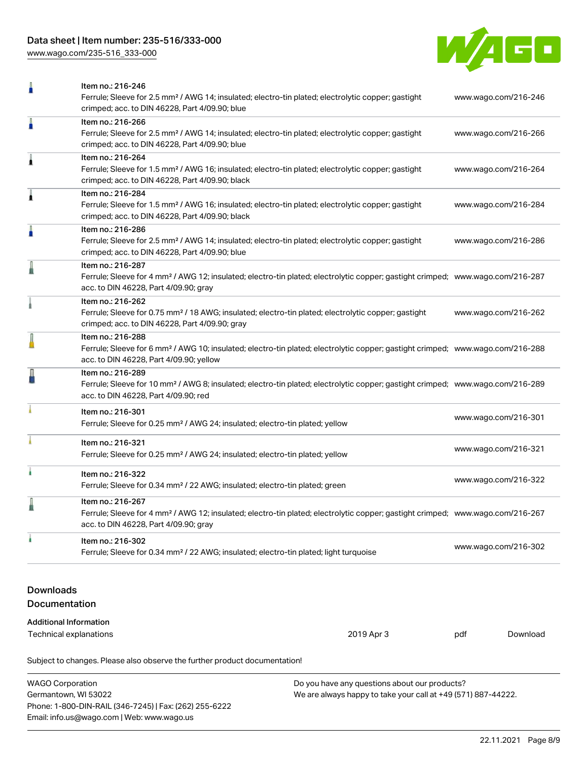[www.wago.com/235-516\\_333-000](http://www.wago.com/235-516_333-000)



|                                   | Item no.: 216-246<br>Ferrule; Sleeve for 2.5 mm <sup>2</sup> / AWG 14; insulated; electro-tin plated; electrolytic copper; gastight<br>www.wago.com/216-246<br>crimped; acc. to DIN 46228, Part 4/09.90; blue  |            |                      |                      |
|-----------------------------------|----------------------------------------------------------------------------------------------------------------------------------------------------------------------------------------------------------------|------------|----------------------|----------------------|
| ñ                                 | Item no.: 216-266<br>Ferrule; Sleeve for 2.5 mm <sup>2</sup> / AWG 14; insulated; electro-tin plated; electrolytic copper; gastight<br>crimped; acc. to DIN 46228, Part 4/09.90; blue                          |            |                      | www.wago.com/216-266 |
| 1                                 | Item no.: 216-264<br>Ferrule; Sleeve for 1.5 mm <sup>2</sup> / AWG 16; insulated; electro-tin plated; electrolytic copper; gastight<br>crimped; acc. to DIN 46228, Part 4/09.90; black                         |            |                      | www.wago.com/216-264 |
| 1                                 | Item no.: 216-284<br>Ferrule; Sleeve for 1.5 mm <sup>2</sup> / AWG 16; insulated; electro-tin plated; electrolytic copper; gastight<br>crimped; acc. to DIN 46228, Part 4/09.90; black                         |            |                      | www.wago.com/216-284 |
| n                                 | Item no.: 216-286<br>Ferrule; Sleeve for 2.5 mm <sup>2</sup> / AWG 14; insulated; electro-tin plated; electrolytic copper; gastight<br>crimped; acc. to DIN 46228, Part 4/09.90; blue                          |            |                      | www.wago.com/216-286 |
| I                                 | Item no.: 216-287<br>Ferrule; Sleeve for 4 mm <sup>2</sup> / AWG 12; insulated; electro-tin plated; electrolytic copper; gastight crimped; www.wago.com/216-287<br>acc. to DIN 46228, Part 4/09.90; gray       |            |                      |                      |
|                                   | Item no.: 216-262<br>Ferrule; Sleeve for 0.75 mm <sup>2</sup> / 18 AWG; insulated; electro-tin plated; electrolytic copper; gastight<br>www.wago.com/216-262<br>crimped; acc. to DIN 46228, Part 4/09.90; gray |            |                      |                      |
|                                   | Item no.: 216-288<br>Ferrule; Sleeve for 6 mm <sup>2</sup> / AWG 10; insulated; electro-tin plated; electrolytic copper; gastight crimped; www.wago.com/216-288<br>acc. to DIN 46228, Part 4/09.90; yellow     |            |                      |                      |
|                                   | Item no.: 216-289<br>Ferrule; Sleeve for 10 mm <sup>2</sup> / AWG 8; insulated; electro-tin plated; electrolytic copper; gastight crimped; www.wago.com/216-289<br>acc. to DIN 46228, Part 4/09.90; red        |            |                      |                      |
|                                   | Item no.: 216-301<br>Ferrule; Sleeve for 0.25 mm <sup>2</sup> / AWG 24; insulated; electro-tin plated; yellow                                                                                                  |            | www.wago.com/216-301 |                      |
|                                   | Item no.: 216-321<br>Ferrule; Sleeve for 0.25 mm <sup>2</sup> / AWG 24; insulated; electro-tin plated; yellow                                                                                                  |            | www.wago.com/216-321 |                      |
|                                   | Item no.: 216-322<br>www.wago.com/216-322<br>Ferrule; Sleeve for 0.34 mm <sup>2</sup> / 22 AWG; insulated; electro-tin plated; green                                                                           |            |                      |                      |
|                                   | Item no.: 216-267<br>Ferrule; Sleeve for 4 mm <sup>2</sup> / AWG 12; insulated; electro-tin plated; electrolytic copper; gastight crimped; www.wago.com/216-267<br>acc. to DIN 46228, Part 4/09.90; gray       |            |                      |                      |
|                                   | Item no.: 216-302<br>Ferrule; Sleeve for 0.34 mm <sup>2</sup> / 22 AWG; insulated; electro-tin plated; light turquoise                                                                                         |            | www.wago.com/216-302 |                      |
| <b>Downloads</b><br>Documentation |                                                                                                                                                                                                                |            |                      |                      |
| <b>Additional Information</b>     |                                                                                                                                                                                                                |            |                      |                      |
| <b>Technical explanations</b>     |                                                                                                                                                                                                                | 2019 Apr 3 | pdf                  | Download             |
|                                   | Subject to changes. Please also observe the further product documentation!                                                                                                                                     |            |                      |                      |

| WAGO Corporation                                       | Do you have any questions about our products?                 |
|--------------------------------------------------------|---------------------------------------------------------------|
| Germantown, WI 53022                                   | We are always happy to take your call at +49 (571) 887-44222. |
| Phone: 1-800-DIN-RAIL (346-7245)   Fax: (262) 255-6222 |                                                               |
| Email: info.us@wago.com   Web: www.wago.us             |                                                               |